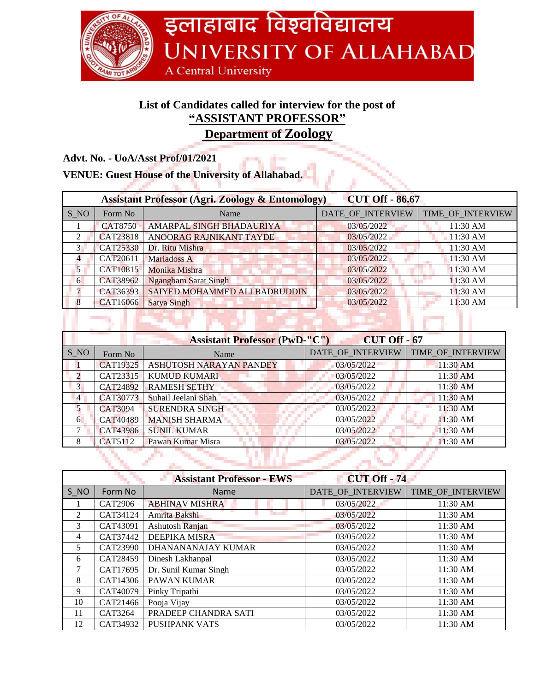

## **List of Candidates called for interview for the post of "ASSISTANT PROFESSOR"**

**Department of Zoology**

**Advt. No. - UoA/Asst Prof/01/2021**

| <b>VENUE: Guest House of the University of Allahabad.</b>   |                 |                               |                        |                   |
|-------------------------------------------------------------|-----------------|-------------------------------|------------------------|-------------------|
| <b>Assistant Professor (Agri. Zoology &amp; Entomology)</b> |                 |                               | <b>CUT Off - 86.67</b> |                   |
| S NO                                                        | Form No         | Name                          | DATE_OF_INTERVIEW      | TIME_OF_INTERVIEW |
|                                                             | <b>CAT8750</b>  | AMARPAL SINGH BHADAURIYA      | 03/05/2022             | 11:30 AM          |
| $\mathcal{L}$                                               | CAT23818        | ANOORAG RAJNIKANT TAYDE       | 03/05/2022             | 11:30 AM          |
| $\mathcal{F}$                                               | <b>CAT25330</b> | Dr. Ritu Mishra               | 03/05/2022             | 11:30 AM          |
| 4                                                           | CAT20611        | Mariadoss A                   | 03/05/2022             | 11:30 AM          |
| $\mathbf{5}$                                                | CAT10815        | Monika Mishra                 | 03/05/2022             | 11:30 AM          |
| 6                                                           | CAT38962        | <b>Ngangbam Sarat Singh</b>   | 03/05/2022             | 11:30 AM          |
|                                                             | CAT36393        | SAIYED MOHAMMED ALI BADRUDDIN | 03/05/2022             | $11:30$ AM        |
|                                                             | CAT16066        | <b>Satya Singh</b>            | 03/05/2022             | $11:30$ AM        |
|                                                             |                 |                               |                        |                   |

| <b>CUT Off - 67</b><br><b>Assistant Professor (PwD-"C")</b> |          |                                |                   |                   |
|-------------------------------------------------------------|----------|--------------------------------|-------------------|-------------------|
| S NO                                                        | Form No  | Name                           | DATE_OF_INTERVIEW | TIME_OF_INTERVIEW |
|                                                             | CAT19325 | <b>ASHUTOSH NARAYAN PANDEY</b> | 03/05/2022        | $11:30$ AM        |
|                                                             | CAT23315 | <b>KUMUD KUMARI</b>            | 03/05/2022        | 11:30 AM          |
| $\overline{3}$                                              | CAT24892 | <b>RAMESH SETHY</b>            | 03/05/2022        | 11:30 AM          |
| $\overline{4}$                                              | CAT30773 | Suhail Jeelani Shah            | 03/05/2022        | $11:30$ AM        |
|                                                             | CAT3094  | <b>SURENDRA SINGH</b>          | 03/05/2022        | 11:30 AM          |
| 6                                                           | CAT40489 | <b>MANISH SHARMA</b>           | 03/05/2022        | $11:30$ AM        |
|                                                             | CAT43986 | <b>SUNIL KUMAR</b>             | 03/05/2022        | 11:30 AM          |
| 8                                                           | CAT5112  | Pawan Kumar Misra              | 03/05/2022        | 11:30 AM          |
|                                                             |          |                                |                   |                   |
|                                                             |          |                                |                   |                   |

|      |                | <b>Assistant Professor - EWS</b> | <b>CUT Off - 74</b> |                   |
|------|----------------|----------------------------------|---------------------|-------------------|
| S NO | Form No        | <b>Name</b>                      | DATE_OF_INTERVIEW   | TIME_OF_INTERVIEW |
| ш.   | <b>CAT2906</b> | <b>ABHINAV MISHRA</b>            | 03/05/2022          | 11:30 AM          |
| 2    | CAT34124       | Amrita Bakshi                    | 03/05/2022          | 11:30 AM          |
| 3    | CAT43091       | Ashutosh Ranjan                  | 03/05/2022          | 11:30 AM          |
| 4    | CAT37442       | <b>DEEPIKA MISRA</b>             | 03/05/2022          | 11:30 AM          |
| 5    | CAT23990       | DHANANANAJAY KUMAR               | 03/05/2022          | 11:30 AM          |
| 6    | CAT28459       | Dinesh Lakhanpal                 | 03/05/2022          | 11:30 AM          |
|      | CAT17695       | Dr. Sunil Kumar Singh            | 03/05/2022          | 11:30 AM          |
| 8    | CAT14306       | <b>PAWAN KUMAR</b>               | 03/05/2022          | 11:30 AM          |
| 9    | CAT40079       | Pinky Tripathi                   | 03/05/2022          | 11:30 AM          |
| 10   | CAT21466       | Pooja Vijay                      | 03/05/2022          | 11:30 AM          |
| 11   | CAT3264        | PRADEEP CHANDRA SATI             | 03/05/2022          | 11:30 AM          |
| 12   | CAT34932       | <b>PUSHPANK VATS</b>             | 03/05/2022          | 11:30 AM          |